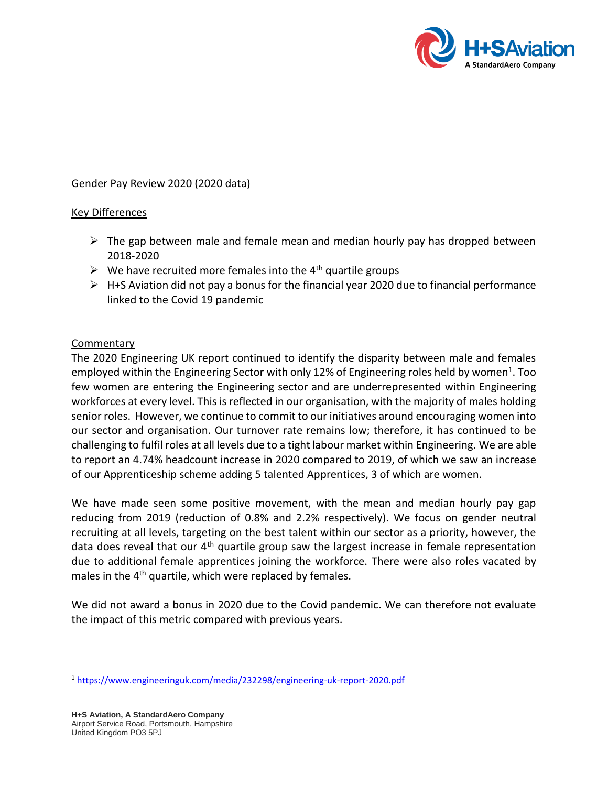

## Gender Pay Review 2020 (2020 data)

## Key Differences

- $\triangleright$  The gap between male and female mean and median hourly pay has dropped between 2018-2020
- $\triangleright$  We have recruited more females into the 4<sup>th</sup> quartile groups
- ➢ H+S Aviation did not pay a bonus for the financial year 2020 due to financial performance linked to the Covid 19 pandemic

## **Commentary**

The 2020 Engineering UK report continued to identify the disparity between male and females employed within the Engineering Sector with only 12% of Engineering roles held by women<sup>1</sup>. Too few women are entering the Engineering sector and are underrepresented within Engineering workforces at every level. This is reflected in our organisation, with the majority of males holding senior roles. However, we continue to commit to our initiatives around encouraging women into our sector and organisation. Our turnover rate remains low; therefore, it has continued to be challenging to fulfil roles at all levels due to a tight labour market within Engineering. We are able to report an 4.74% headcount increase in 2020 compared to 2019, of which we saw an increase of our Apprenticeship scheme adding 5 talented Apprentices, 3 of which are women.

We have made seen some positive movement, with the mean and median hourly pay gap reducing from 2019 (reduction of 0.8% and 2.2% respectively). We focus on gender neutral recruiting at all levels, targeting on the best talent within our sector as a priority, however, the data does reveal that our 4<sup>th</sup> quartile group saw the largest increase in female representation due to additional female apprentices joining the workforce. There were also roles vacated by males in the 4<sup>th</sup> quartile, which were replaced by females.

We did not award a bonus in 2020 due to the Covid pandemic. We can therefore not evaluate the impact of this metric compared with previous years.

<sup>1</sup> <https://www.engineeringuk.com/media/232298/engineering-uk-report-2020.pdf>